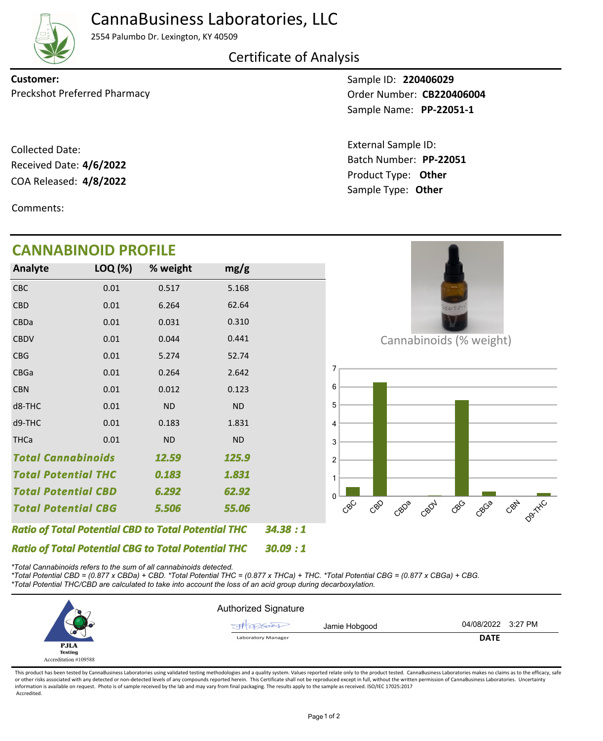

## CannaBusiness Laboratories, LLC

2554 Palumbo Dr. Lexington, KY 40509

Certificate of Analysis

**Customer:**

COA Released: 4/8/2022 Collected Date: Received Date: **4/6/2022**

Comments:

**CANNABINOID PROFILE**

Sample ID: **220406029 PP-22051-1** Sample Name: Preckshot Preferred Pharmacy **Dream Control Control CB220406004** 

> Product Type: **Other 4/8/2022** Batch Number: **PP-22051** External Sample ID: Sample Type: **Other**

| <b>CANNABINOID PROFILE</b>                                 |         |           |                |         |                                                             |
|------------------------------------------------------------|---------|-----------|----------------|---------|-------------------------------------------------------------|
| Analyte                                                    | LOQ (%) | % weight  | mg/g           |         |                                                             |
| <b>CBC</b>                                                 | 0.01    | 0.517     | 5.168          |         |                                                             |
| <b>CBD</b>                                                 | 0.01    | 6.264     | 62.64          |         |                                                             |
| CBDa                                                       | 0.01    | 0.031     | 0.310          |         |                                                             |
| <b>CBDV</b>                                                | 0.01    | 0.044     | 0.441          |         | Cannabinoids (% weight)                                     |
| <b>CBG</b>                                                 | 0.01    | 5.274     | 52.74          |         |                                                             |
| CBGa                                                       | 0.01    | 0.264     | 2.642          |         | 7                                                           |
| <b>CBN</b>                                                 | 0.01    | 0.012     | 0.123          |         | 6                                                           |
| d8-THC                                                     | 0.01    | <b>ND</b> | <b>ND</b>      |         | 5                                                           |
| d9-THC                                                     | 0.01    | 0.183     | 1.831          |         | 4                                                           |
| <b>THCa</b>                                                | 0.01    | <b>ND</b> | <b>ND</b>      |         | 3                                                           |
| <b>Total Cannabinoids</b><br>12.59<br>125.9                |         |           | $\overline{2}$ |         |                                                             |
| <b>Total Potential THC</b>                                 |         | 0.183     | 1.831          |         |                                                             |
| <b>Total Potential CBD</b>                                 |         | 6.292     | 62.92          |         | $\Omega$                                                    |
| <b>Total Potential CBG</b>                                 |         | 5.506     | 55.06          |         | CBN D9THC<br>CBO<br>CBOV<br>$C^{8}C$<br>CBC<br>CBGB<br>CBDB |
| <b>Ratio of Total Potential CBD to Total Potential THC</b> |         |           |                | 34.38:1 |                                                             |
| <b>Ratio of Total Potential CBG to Total Potential THC</b> |         |           |                | 30.09:1 |                                                             |

*\*Total Cannabinoids refers to the sum of all cannabinoids detected.*

*\*Total Potential CBD = (0.877 x CBDa) + CBD. \*Total Potential THC = (0.877 x THCa) + THC. \*Total Potential CBG = (0.877 x CBGa) + CBG. \*Total Potential THC/CBD are calculated to take into account the loss of an acid group during decarboxylation.*



This product has been tested by CannaBusiness Laboratories using validated testing methodologies and a quality system. Values reported relate only to the product tested. CannaBusiness Laboratories makes no claims as to the or other risks associated with any detected or non-detected levels of any compounds reported herein. This Certificate shall not be reproduced except in full, without the written permission of CannaBusiness Laboratories. Un information is available on request. Photo is of sample received by the lab and may vary from final packaging. The results apply to the sample as received. ISO/IEC 17025:2017 Accredited.